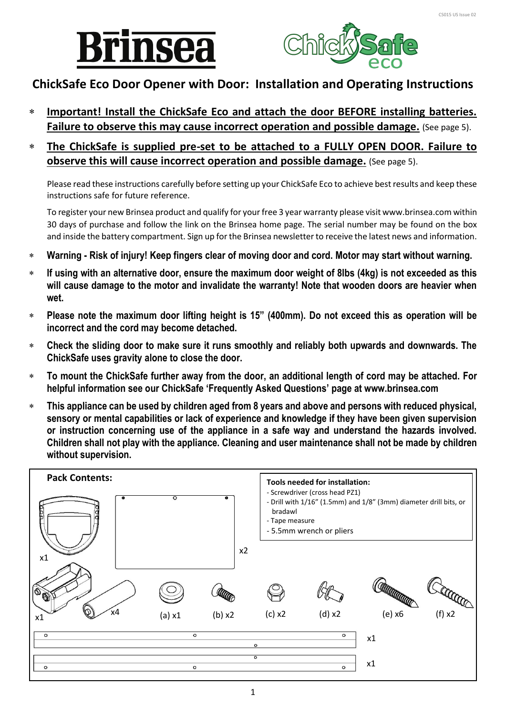



# **ChickSafe Eco Door Opener with Door: Installation and Operating Instructions**

- **Important! Install the ChickSafe Eco and attach the door BEFORE installing batteries. Failure to observe this may cause incorrect operation and possible damage.** (See page 5).
- **The ChickSafe is supplied pre-set to be attached to a FULLY OPEN DOOR. Failure to observe this will cause incorrect operation and possible damage.** (See page 5).

Please read these instructions carefully before setting up your ChickSafe Eco to achieve best results and keep these instructions safe for future reference.

To register your new Brinsea product and qualify for your free 3 year warranty please visit www.brinsea.com within 30 days of purchase and follow the link on the Brinsea home page. The serial number may be found on the box and inside the battery compartment. Sign up for the Brinsea newsletter to receive the latest news and information.

- **Warning - Risk of injury! Keep fingers clear of moving door and cord. Motor may start without warning.**
- **If using with an alternative door, ensure the maximum door weight of 8lbs (4kg) is not exceeded as this will cause damage to the motor and invalidate the warranty! Note that wooden doors are heavier when wet.**
- **Please note the maximum door lifting height is 15" (400mm). Do not exceed this as operation will be incorrect and the cord may become detached.**
- **Check the sliding door to make sure it runs smoothly and reliably both upwards and downwards. The ChickSafe uses gravity alone to close the door.**
- **To mount the ChickSafe further away from the door, an additional length of cord may be attached. For helpful information see our ChickSafe 'Frequently Asked Questions' page at www.brinsea.com**
- **This appliance can be used by children aged from 8 years and above and persons with reduced physical, sensory or mental capabilities or lack of experience and knowledge if they have been given supervision or instruction concerning use of the appliance in a safe way and understand the hazards involved. Children shall not play with the appliance. Cleaning and user maintenance shall not be made by children without supervision.**

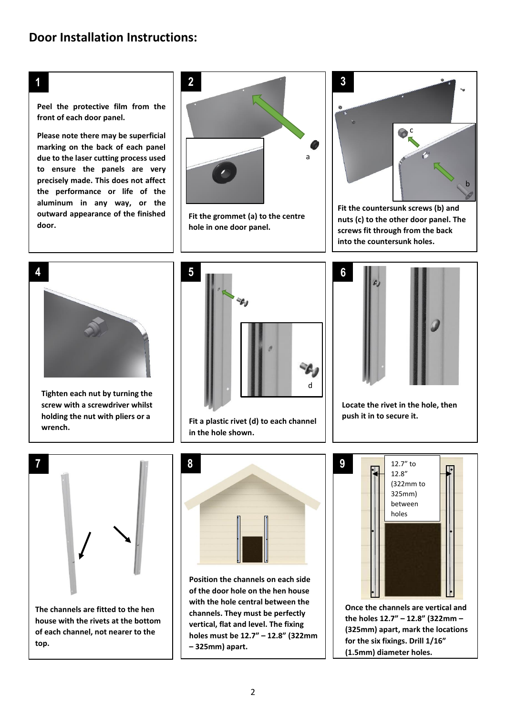## **1**

**Peel the protective film from the front of each door panel.**

**D outward appearance of the finished Please note there may be superficial marking on the back of each panel due to the laser cutting process used to ensure the panels are very precisely made. This does not affect the performance or life of the aluminum in any way, or the door.**



**Fit the grommet (a) to the centre hole in one door panel.**



**Fit the countersunk screws (b) and nuts (c) to the other door panel. The screws fit through from the back into the countersunk holes.**



**Tighten each nut by turning the screw with a screwdriver whilst holding the nut with pliers or a wrench.**



**Fit a plastic rivet (d) to each channel in the hole shown.**



**Locate the rivet in the hole, then push it in to secure it.**



**house with the rivets at the bottom of each channel, not nearer to the top.**



**Position the channels on each side of the door hole on the hen house with the hole central between the channels. They must be perfectly vertical, flat and level. The fixing holes must be 12.7" – 12.8" (322mm – 325mm) apart.**



**the holes 12.7" – 12.8" (322mm – (325mm) apart, mark the locations for the six fixings. Drill 1/16" (1.5mm) diameter holes.**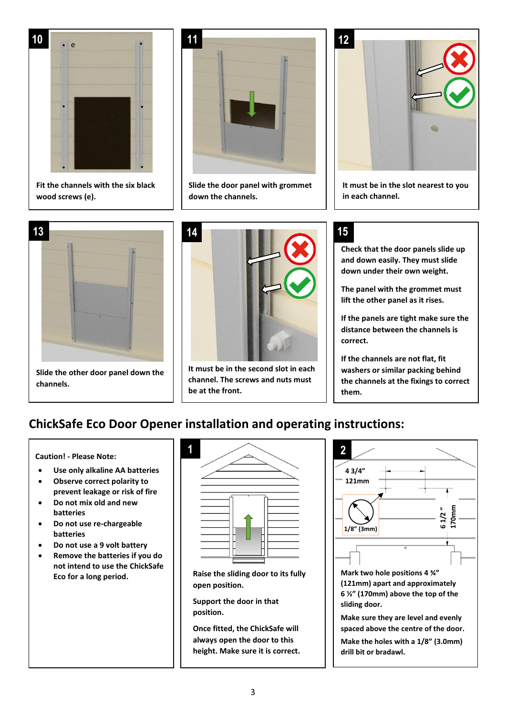

**Fit the channels with the six black wood screws (e).**



**Slide the door panel with grommet down the channels.**





**It must be in the second slot in each channel. The screws and nuts must be at the front.**



**It must be in the slot nearest to you in each channel.**

## **15**

**Check that the door panels slide up and down easily. They must slide down under their own weight.**

**The panel with the grommet must lift the other panel as it rises.**

**If the panels are tight make sure the distance between the channels is correct.**

**If the channels are not flat, fit washers or similar packing behind the channels at the fixings to correct them.**

# **ChickSafe Eco Door Opener installation and operating instructions:**

**Caution! - Please Note:**

 $\overline{\phantom{a}}$ 

- **Use only alkaline AA batteries**
- **Observe correct polarity to prevent leakage or risk of fire**
- **Do not mix old and new batteries**
- **Do not use re-chargeable batteries**
- **Do not use a 9 volt battery**
- **D Eco for a long period.** • **Remove the batteries if you do not intend to use the ChickSafe**



**Raise the sliding door to its fully open position.**

**Support the door in that position.**

**Once fitted, the ChickSafe will always open the door to this height. Make sure it is correct.**

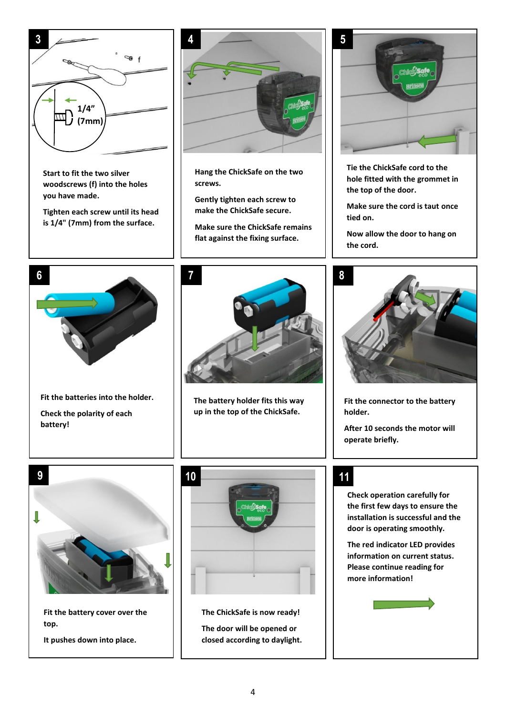

4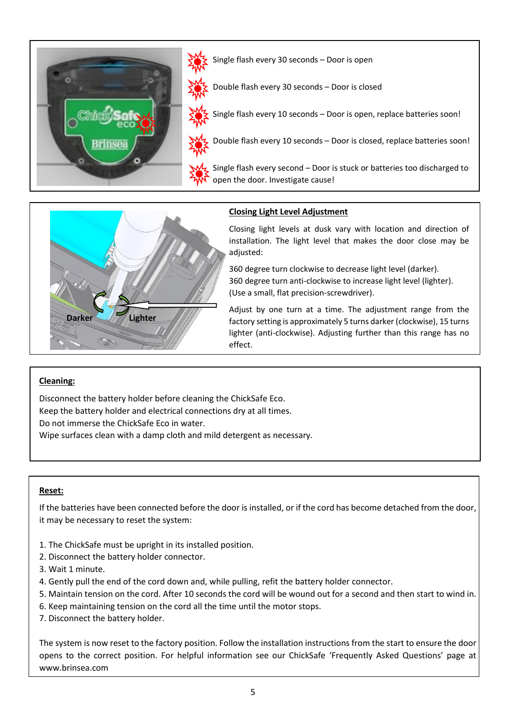



### **Closing Light Level Adjustment**

Closing light levels at dusk vary with location and direction of installation. The light level that makes the door close may be adjusted:

360 degree turn clockwise to decrease light level (darker). 360 degree turn anti-clockwise to increase light level (lighter). (Use a small, flat precision-screwdriver).

Adjust by one turn at a time. The adjustment range from the factory setting is approximately 5 turns darker (clockwise), 15 turns lighter (anti-clockwise). Adjusting further than this range has no effect.

### **Cleaning:**

I

Disconnect the battery holder before cleaning the ChickSafe Eco. Keep the battery holder and electrical connections dry at all times. Do not immerse the ChickSafe Eco in water.

Wipe surfaces clean with a damp cloth and mild detergent as necessary.

### **Reset:**

If the batteries have been connected before the door is installed, or if the cord has become detached from the door, it may be necessary to reset the system:

- 1. The ChickSafe must be upright in its installed position.
- 2. Disconnect the battery holder connector.
- 3. Wait 1 minute.
- 4. Gently pull the end of the cord down and, while pulling, refit the battery holder connector.
- 5. Maintain tension on the cord. After 10 seconds the cord will be wound out for a second and then start to wind in.
- 6. Keep maintaining tension on the cord all the time until the motor stops.
- 7. Disconnect the battery holder.

The system is now reset to the factory position. Follow the installation instructions from the start to ensure the door opens to the correct position. For helpful information see our ChickSafe 'Frequently Asked Questions' page at www.brinsea.com